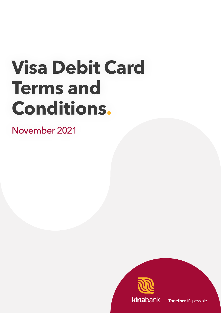# **Visa Debit Card Terms and Conditions.**

November 2021

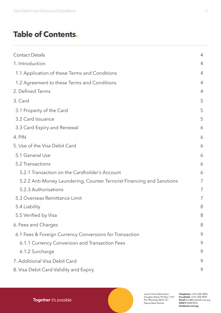# **Table of Contents.**

| <b>Contact Details</b>                                                 | $\overline{4}$ |
|------------------------------------------------------------------------|----------------|
| 1. Introduction                                                        | $\overline{4}$ |
| 1.1 Application of these Terms and Conditions                          | $\overline{4}$ |
| 1.2 Agreement to these Terms and Conditions                            | $\overline{4}$ |
| 2. Defined Terms                                                       | $\overline{4}$ |
| 3. Card                                                                | 5              |
| 3.1 Property of the Card                                               | 5              |
| 3.2 Card Issuance                                                      | 5              |
| 3.3 Card Expiry and Renewal                                            | 6              |
| 4. PIN                                                                 | 6              |
| 5. Use of the Visa Debit Card                                          | 6              |
| 5.1 General Use                                                        | 6              |
| 5.2 Transactions                                                       | 6              |
| 5.2.1 Transaction on the Cardholder's Account                          | 6              |
| 5.2.2 Anti-Money Laundering, Counter Terrorist Financing and Sanctions | 7              |
| 5.2.3 Authorisations                                                   | 7              |
| 5.3 Overseas Remittance Limit                                          | 7              |
| 5.4 Liability                                                          | 8              |
| 5.5 Verified by Visa                                                   | 8              |
| 6. Fees and Charges                                                    | 8              |
| 6.1 Fees & Foreign Currency Conversions for Transaction                | 9              |
| 6.1.1 Currency Conversion and Transaction Fees                         | 9              |
| 6.1.2 Surcharge                                                        | 9              |
| 7. Additional Visa Debit Card                                          | 9              |
| 8. Visa Debit Card Validity and Expiry                                 | 9              |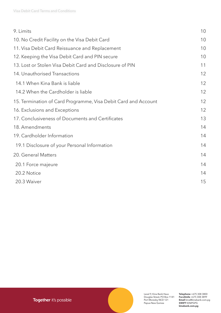| 9. Limits                                                      | 10 |
|----------------------------------------------------------------|----|
| 10. No Credit Facility on the Visa Debit Card                  | 10 |
| 11. Visa Debit Card Reissuance and Replacement                 | 10 |
| 12. Keeping the Visa Debit Card and PIN secure                 | 10 |
| 13. Lost or Stolen Visa Debit Card and Disclosure of PIN       | 11 |
| 14. Unauthorised Transactions                                  | 12 |
| 14.1 When Kina Bank is liable                                  | 12 |
| 14.2 When the Cardholder is liable                             | 12 |
| 15. Termination of Card Programme, Visa Debit Card and Account | 12 |
| 16. Exclusions and Exceptions                                  | 12 |
| 17. Conclusiveness of Documents and Certificates               | 13 |
| 18. Amendments                                                 | 14 |
| 19. Cardholder Information                                     | 14 |
| 19.1 Disclosure of your Personal Information                   | 14 |
| 20. General Matters                                            | 14 |
| 20.1 Force majeure                                             | 14 |
| 20.2 Notice                                                    | 14 |
| 20.3 Waiver                                                    | 15 |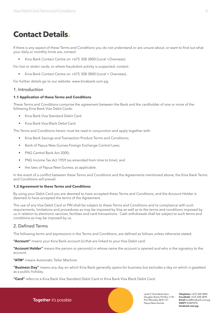# <span id="page-3-0"></span>**Contact Details.**

If there is any aspect of these Terms and Conditions you do not understand or are unsure about, or want to find out what your daily or monthly limits are, contact:

• Kina Bank Contact Centre on +675 308 3800 (Local +Overseas).

For lost or stolen cards, or where fraudulent activity is suspected, contact:

Kina Bank Contact Centre on +675 308 3800 (Local + Overseas).

For further details go to our website: [www.kinabank.com.pg](http://www.kinabank.com.pg )

# 1. Introduction

#### **1.1 Application of these Terms and Conditions**

These Terms and Conditions comprise the agreement between the Bank and the cardholder of one or more of the following Kina Bank Visa Debit Cards:

- Kina Bank Visa Standard Debit Card
- Kina Bank Visa Black Debit Card

The Terms and Conditions herein must be read in conjunction and apply together with:

- Kina Bank Savings and Transaction Product Terms and Conditions;
- Bank of Papua New Guinea Foreign Exchange Control Laws;
- PNG Central Bank Act 2000;
- PNG Income Tax Act 1959 (as amended from time to time); and
- the laws of Papua New Guinea, as applicable.

In the event of a conflict between these Terms and Conditions and the Agreements mentioned above, the Kina Bank Terms and Conditions will prevail.

#### **1.2 Agreement to these Terms and Conditions**

By using your Debit Card you are deemed to have accepted these Terms and Conditions, and the Account Holder is deemed to have accepted the terms of the Agreement.

The use of any Visa Debit Card or PIN shall be subject to these Terms and Conditions and to compliance with such requirements, limitations and procedures as may be imposed by Visa as well as to the terms and conditions imposed by us in relation to electronic services, facilities and card transactions. Cash withdrawals shall be subject to such terms and conditions as may be imposed by us.

# 2. Defined Terms

The following terms and expressions in the Terms and Conditions, are defined as follows unless otherwise stated:

**"Account"** means your Kina Bank account (s) that are linked to your Visa Debit card.

**"Account Holder"** means the person or person(s) in whose name the account is opened and who is the signatory to the account.

**"ATM"** means Automatic Teller Machine.

**"Business Day"** means any day on which Kina Bank generally opens for business but excludes a day on which is gazetted as a public holiday.

**"Card"** refers to a Kina Bank Visa Standard Debit Card or Kina Bank Visa Black Debit Card.

Level 9, Kina Bank Haus Douglas Street, PO Box 1141 Port Moresby NCD 121 Papua New Guinea

**Telephone** +675 308 3800 **Facsilmile** +675 308 3899 **Email** kina@kinabank.com.pg **SWIFT** KINIPGPG **kinabank.com.pg**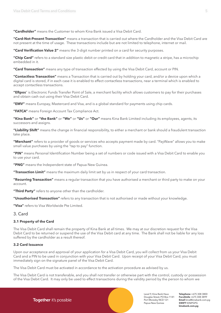<span id="page-4-0"></span>**"Cardholder"** means the Customer to whom Kina Bank issued a Visa Debit Card.

**"Card-Not-Present Transaction"** means a transaction that is carried out where the Cardholder and the Visa Debit Card are not present at the time of usage. These transactions include but are not limited to telephone, internet or mail.

**"Card Verification Value 2"** means the 3-digit number printed on a card for security purposes.

**"Chip Card"** refers to a standard size plastic debit or credit card that in addition to magnetic a stripe, has a microchip embedded in it.

**"Card Transaction"** means any type of transaction effected by using the Visa Debit Card, account or PIN.

**"Contactless Transaction"** means a Transaction that is carried out by holding your card, and/or a device upon which a digital card is stored, if in each case it is enabled to effect contactless transactions, near a terminal which is enabled to accept contactless transactions.

**"Eftpos**" is Electronic Funds Transfer Point of Sale, a merchant facility which allows customers to pay for their purchases and obtain cash out using their Visa Debit Card.

**"EMV"** means Europay, Mastercard and Visa, and is a global standard for payments using chip cards.

**"FATCA"** means Foreign Account Tax Compliance Act.

**"Kina Bank"** or **"the Bank"** or **"We"** or **"Us"** or **"Our"** means Kina Bank Limited including its employees, agents, its successors and assigns.

**"Liability Shift"** means the change in financial responsibility, to either a merchant or bank should a fraudulent transaction take place.

**"Merchant"** refers to a provider of goods or services who accepts payment made by card. "PayWave" allows you to make small value purchases by using the "tap to pay" function.

**"PIN"** means Personal Identification Number being a set of numbers or code issued with a Visa Debit Card to enable you to use your card.

**"PNG"** means the Independent state of Papua New Guinea.

**"Transaction Limit"** means the maximum daily limit set by us in respect of your card transaction.

**"Recurring Transaction"** means a regular transaction that you have authorised a merchant or third party to make on your account.

**"Third Party"** refers to anyone other than the cardholder.

**"Unauthorised Transaction"** refers to any transaction that is not authorised or made without your knowledge.

**"Visa"** refers to Visa Worldwide Pte Limited.

#### 3. Card

#### **3.1 Property of the Card**

The Visa Debit Card shall remain the property of Kina Bank at all times. We may at our discretion request for the Visa Debit Card to be returned or suspend the use of the Visa Debit card at any time. The Bank shall not be liable for any loss suffered by the cardholder as a result thereof.

#### **3.2 Card Issuance**

Upon our acceptance and approval of your application for a Visa Debit Card, you will collect from us your Visa Debit Card and a PIN to be used in conjunction with your Visa Debit Card. Upon receipt of your Visa Debit Card, you must immediately sign on the signature panel of the Visa Debit Card.

The Visa Debit Card must be activated in accordance to the activation procedure as advised by us.

The Visa Debit Card is not transferable, and you shall not transfer or otherwise part with the control, custody or possession of the Visa Debit Card. It may only be used to effect transactions during the validity period by the person to whom we

Together it's possible

Level 9, Kina Bank Haus Douglas Street, PO Box 1141 Port Moresby NCD 121 Papua New Guinea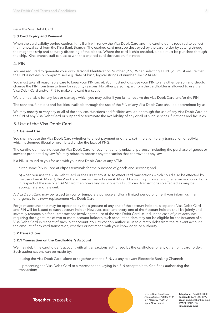<span id="page-5-0"></span>issue the Visa Debit Card.

#### **3.3 Card Expiry and Renewal**

When the card validity period expires, Kina Bank will renew the Visa Debit Card and the cardholder is required to collect their renewal card from the Kina Bank Branch. The expired card must be destroyed by the cardholder by cutting through the magnetic strip and securely disposing of the pieces. Where the card is chip enabled, a hole must be punched through the chip. Kina branch staff can assist with this expired card destruction if in need.

#### 4. PIN

You are required to generate your own Personal Identification Number (PIN). When selecting a PIN, you must ensure that the PIN is not easily compromised e.g. date of birth, logical strings of number like 1234 etc.

You must take all reasonable care to keep your PIN secret. You must not disclose your PIN to any other person and should change the PIN from time to time for security reasons. No other person apart from the cardholder is allowed to use the Visa Debit Card and/or PIN to make any card transaction.

We are not liable for any loss or damage which you may suffer if you fail to receive the Visa Debit Card and/or the PIN.

The services, functions and facilities available through the use of the PIN of any Visa Debit Card shall be determined by us.

We may modify or vary any or all of the services, functions and facilities available through the use of any Visa Debit Card or the PIN of any Visa Debit Card or suspend or terminate the availability of any or all of such services, functions and facilities.

# 5. Use of the Visa Debit Card

#### **5.1 General Use**

You shall not use the Visa Debit Card (whether to effect payment or otherwise) in relation to any transaction or activity which is deemed illegal or prohibited under the laws of PNG.

The cardholder must not use the Visa Debit Card for payment of any unlawful purpose, including the purchase of goods or services prohibited by law. We may refuse to process any transaction that contravenes any law.

If a PIN is issued to you for use with your Visa Debit Card at any ATM:

a) the same PIN is used at eftpos terminals for the purchase of goods and services; and

b) when you use the Visa Debit Card or the PIN at any ATM to effect card transactions which could also be effected by the use of an ATM card, the Visa Debit Card is treated as an ATM card for such a purpose; and the terms and conditions in respect of the use of an ATM card then prevailing will govern all such card transactions so effected as may be appropriate and relevant.

A Visa Debit Card may be issued to you for temporary purpose and/or a limited period of time, if you inform us in an emergency for a new/ replacement Visa Debit Card.

For joint accounts that may be operated by the signature of any one of the account holders, a separate Visa Debit Card and PIN will be issued to each account holder. However, each and every one of the Account holders shall be jointly and severally responsible for all transactions involving the use of the Visa Debit Card issued. In the case of joint accounts requiring the signatures of two or more account holders, such account holders may not be eligible for the issuance of a Visa Debit Card in respect of such joint account. You irrevocably authorise us to directly debit from the relevant account the amount of any card transaction, whether or not made with your knowledge or authority.

#### **5.2 Transactions**

#### **5.2.1 Transaction on the Cardholder's Account**

We may debit the cardholder's account with all transactions authorised by the cardholder or any other joint cardholder. Such authorisations can be made by:

i) using the Visa Debit Card, alone or together with the PIN, via any relevant Electronic Banking Channel;

ii) presenting the Visa Debit Card to a merchant and keying in a PIN acceptable to Kina Bank authorising the transaction;

Together it's possible

Level 9, Kina Bank Haus Douglas Street, PO Box 1141 Port Moresby NCD 121 Papua New Guinea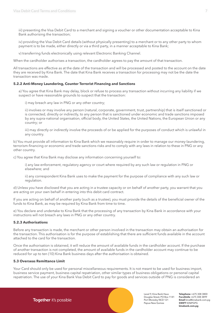<span id="page-6-0"></span>iii) presenting the Visa Debit Card to a merchant and signing a voucher or other documentation acceptable to Kina Bank authorising the transaction;

iv) providing the Visa Debit Card details (without physically presenting) to a merchant or to any other party to whom payment is to be made, either directly or via a third party, in a manner acceptable to Kina Bank;

v) transferring funds electronically using relevant Electronic Banking Channel.

When the cardholder authorises a transaction, the cardholder agrees to pay the amount of that transaction.

All transactions are effective as at the date of the transaction and will be processed and posted to the account on the date they are received by Kina Bank. The date that Kina Bank receives a transaction for processing may not be the date the transaction was made.

#### **5.2.2 Anti-Money Laundering, Counter Terrorist Financing and Sanctions**

a) You agree that Kina Bank may delay, block or refuse to process any transaction without incurring any liability if we suspect or have reasonable grounds to suspect that the transaction:

i) may breach any law in PNG or any other country;

ii) involves or may involve any person (natural, corporate, government, trust, partnership) that is itself sanctioned or is connected, directly or indirectly, to any person that is sanctioned under economic and trade sanctions imposed by any supra-national organisation, official body, the United States, the United Nations, the European Union or any country; or

iii) may directly or indirectly involve the proceeds of or be applied for the purposes of conduct which is unlawful in any country.

b) You must provide all information to Kina Bank which we reasonably require in order to manage our money-laundering, terrorism-financing or economic and trade sanctions risks and to comply with any laws in relation to these in PNG or any other country.

c) You agree that Kina Bank may disclose any information concerning yourself to:

i) any law enforcement, regulatory agency or court where required by any such law or regulation in PNG or elsewhere; and

ii) any correspondent Kina Bank uses to make the payment for the purpose of compliance with any such law or regulation.

d) Unless you have disclosed that you are acting in a trustee capacity or on behalf of another party, you warrant that you are acting on your own behalf in entering into this debit card contract.

If you are acting on behalf of another party (such as a trustee), you must provide the details of the beneficial owner of the funds to Kina Bank, as may be required by Kina Bank from time to time.

e) You declare and undertake to Kina Bank that the processing of any transaction by Kina Bank in accordance with your instructions will not breach any laws in PNG or any other country.

#### **5.2.3 Authorisations**

Before any transaction is made, the merchant or other person involved in the transaction may obtain an authorisation for the transaction. This authorisation is for the purpose of establishing that there are sufficient funds available in the account attached to the card for the transaction.

Once the authorisation is obtained, it will reduce the amount of available funds in the cardholder account. If the purchase of another transaction is not completed, the amount of available funds in the cardholder account may continue to be reduced for up to ten (10) Kina Bank business days after the authorisation is obtained.

#### **5.3 Overseas Remittance Limit**

Your Card should only be used for personal miscellaneous requirements. It is not meant to be used for business import, business service payment, business capital repatriation, other similar types of business obligations or personal capital repatriation. The use of your Kina Bank Visa Debit Card to pay for goods and services outside of PNG is considered an

> Level 9, Kina Bank Haus Douglas Street, PO Box 1141 Port Moresby NCD 121 Papua New Guinea

**Telephone** +675 308 3800 **Facsilmile** +675 308 3899 **Email** kina@kinabank.com.pg **SWIFT** KINIPGPG **kinabank.com.pg**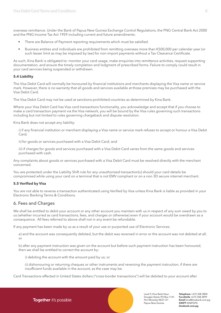<span id="page-7-0"></span>overseas remittance. Under the Bank of Papua New Guinea Exchange Control Regulations, the PNG Central Bank Act 2000 and the PNG Income Tax Act 1959 including current and future amendments:

- There are Balance of Payment reporting requirements which must be satisfied.
- Business entities and individuals are prohibited from remitting overseas more than K500,000 per calendar year (or such lesser limit as may be imposed by law) for non-import payments without a Tax Clearance Certificate.

As such, Kina Bank is obligated to: monitor your card usage, make enquiries into remittance activities, request supporting documentation, and ensure the timely completion and lodgment of prescribed forms. Failure to comply could result in your card services being suspended or withdrawn.

#### **5.4 Liability**

The Visa Debit Card will normally be honoured by financial institutions and merchants displaying the Visa name or service mark. However, there is no warranty that all goods and services available at those premises may be purchased with the Visa Debit Card.

The Visa Debit Card may not be used at sanctions-prohibited countries as determined by Kina Bank.

Where your Visa Debit Card has Visa card transactions functionality, you acknowledge and accept that if you choose to make a card transaction payment via the Visa network, you will be bound by the Visa rules governing such transactions including but not limited to rules governing chargeback and dispute resolution.

Kina Bank does not accept any liability:

i) if any financial institution or merchant displaying a Visa name or service mark refuses to accept or honour a Visa Debit Card;

ii) for goods or services purchased with a Visa Debit Card; and

iii) if charges for goods and services purchased with a Visa Debit Card varies from the same goods and services purchased with cash.

Any complaints about goods or services purchased with a Visa Debit Card must be resolved directly with the merchant concerned.

You are protected under the Liability Shift rule for any unauthorised transaction(s) should your card details be compromised while using your card on a terminal that is not EMV compliant or on a non 3D secure internet merchant.

#### **5.5 Verified by Visa**

You are not able to reverse a transaction authenticated using Verified by Visa unless Kina Bank is liable as provided in your Electronic Banking Terms & Conditions.

# 6. Fees and Charges

We shall be entitled to debit your account or any other account you maintain with us in respect of any sum owed by you to us (whether incurred as card transactions, fees, and charges or otherwise) even if your account would be overdrawn as a consequence. All fees referred to above shall not in any event be refundable.

If any payment has been made by us as a result of your use or purported use of Electronic Services:

a) and the account was consequently debited, but the debit was reversed in error or the account was not debited at all; or

b) after any payment instruction was given on the account but before such payment instruction has been honoured, then we shall be entitled to correct the account by:

i) debiting the account with the amount paid by us; or

ii) dishonouring or returning cheques or other instruments and reversing the payment instruction, if there are insufficient funds available in the account, as the case may be.

Card Transactions effected in United States dollars ("cross-border transactions") will be debited to your account after

Level 9, Kina Bank Haus Douglas Street, PO Box 1141 Port Moresby NCD 121 Papua New Guinea

**Telephone** +675 308 3800 **Facsilmile** +675 308 3899 **Email** kina@kinabank.com.pg **SWIFT** KINIPGPG **kinabank.com.pg**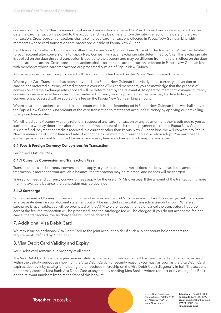<span id="page-8-0"></span>conversion into Papua New Guinean kina at an exchange rate determined by Visa. This exchange rate is applied on the date the card transaction is posted to the account and may be different from the rate in effect on the date of the card transaction. Cross-border transactions shall also include card transactions effected in Papua New Guinean kina with merchants whose card transactions are processed outside of Papua New Guinea.

Card transactions effected in currencies other than Papua New Guinean kina ("Cross-border transactions") will be debited to your account after conversion into Papua New Guinean kina at an exchange rate determined by Visa. This exchange rate is applied on the date the card transaction is posted to the account and may be different from the rate in effect on the date of the card transaction. Cross-border transactions shall also include card transactions effected in Papua New Guinean kina with merchants whose card transactions are processed outside of Papua New Guinea.

All Cross-border transactions processed will be subject to a fee based on the Papua New Guinean kina amount.

Where your Card Transaction has been converted into Papua New Guinean kina via dynamic currency conversion or cardholder preferred currency offered at certain overseas ATMs and merchants, you acknowledge that the process of conversion and the exchange rates applied will be determined by the relevant ATM operator, merchant, dynamic currency conversion service provider or cardholder preferred currency service provider, as the case may be. In addition, all conversions processed will be subject to a fee on the Papua New Guinean kina amount.

Where a card transaction is debited to an account which is not denominated in Papua New Guinean kina, we shall convert the Papua New Guinean kina amount of the card transaction to match that account's currency by applying our prevailing foreign exchange rates.

We will credit any Account with any refund in respect of any card transaction or any payment or other credit due to you at such time as we may determine after our receipt of the amount of such refund, payment or credit in Papua New Guinea. If such refund, payment or credit is received in a currency other than Papua New Guinean kina, we will convert it to Papua New Guinean kina at such a time and rate of exchange as we may in our reasonable discretion adopt. You must bear all exchange risks, reasonably incurred losses, commission, fees and charges which may thereby arise.

#### **6.1 Fees & Foreign Currency Conversions for Transaction**

Performed Outside PNG.

#### **6.1.1 Currency Conversion and Transaction Fees**

Transaction fees and currency conversion fees apply to your account for transactions made overseas. If the amount of the transaction is more than your available balance, the transaction may be rejected, and no fees will be charged.

Transaction fees and currency conversion fees apply for the use of ATMs overseas. If the amount of the transaction is more than the available balance, the transaction may be declined.

#### **6.1.2 Surcharge**

Some overseas ATMs may impose a surcharge when you use their ATM to make a withdrawal. Surcharges will not appear as a separate item on your Account statement but will be included in the total transaction amount shown. Where a surcharge is applicable, you will be prompted by the ATM to either accept the fee or cancel the transaction. If you do accept the fee, the transaction will be processed, and the surcharge fee will be charged. If you do not accept the fee and cancel the transaction, the surcharge fee will not be charged.

# 7. Additional Visa Debit Card

We may issue an additional Visa Debit Card to the joint account holder if such a joint account holder meets the requirements defined by Kina Bank.

# 8. Visa Debit Card Validity and Expiry

Your Debit card remains our property at all times.

The Visa Debit Card must be signed immediately by the person in whose name it has been issued and can only be used within the validity periods as shown on the Visa Debit Card. For security reasons you must, as soon as the Visa Debit Card expires, destroy it by cutting it (including the embedded microchip on the Visa Debit Card) diagonally in half. The account holder may cancel a Kina Bank Visa Debit Card at any time by sending Kina Bank a written request or by calling Kina Bank on the relevant numbers listed at the front of this booklet.

Level 9, Kina Bank Haus Douglas Street, PO Box 1141 Port Moresby NCD 121 Papua New Guinea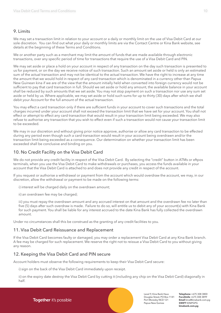# <span id="page-9-0"></span>9. Limits

We may set a transaction limit in relation to your account or a daily or monthly limit on the use of Visa Debit Card at our sole discretion. You can find out what your daily or monthly limits are via the Contact Centre or Kina Bank website, see details at the beginning of these Terms and Conditions.

We or another party such as a merchant may limit the amount of funds that are made available through electronic transactions, over any specific period of time for transactions that require the use of a Visa Debit Card and PIN.

We may set aside or place a hold on your account in respect of any transaction on the day such transaction is presented to us for payment, or on the day we receive notice of such transaction. Such an amount set aside or held is only an estimated sum of the actual transaction and may not be identical to the actual transaction. We have the right to increase at any time the amount that we would hold in respect of any card transaction which is denominated in a currency other than Papua New Guinean kina if we are of the view that the amount initially held when converted into foreign currency would not be sufficient to pay that card transaction in full. Should we set aside or hold any amount, the available balance in your account shall be reduced by such amounts that we set aside. You may not stop payment on such a transaction nor use any sum set aside or held by us. Where applicable, we may set aside or hold such sums for up to thirty (30) days after which we shall debit your Account for the full amount of the actual transaction.

You may effect a card transaction only if there are sufficient funds in your account to cover such transactions and the total charges incurred under your account shall not exceed the transaction limit that we have set for your account. You shall not effect or attempt to effect any card transaction that would result in your transaction limit being exceeded. We may also refuse to authorise any transaction that you wish to effect even if such a transaction would not cause your transaction limit to be exceeded.

We may in our discretion and without giving prior notice approve, authorise or allow any card transaction to be effected during any period even though such a card transaction would result in your account being overdrawn and/or the transaction limit being exceeded as a consequence. Our determination on whether your transaction limit has been exceeded shall be conclusive and binding on you.

# 10. No Credit Facility on the Visa Debit Card

We do not provide any credit facility in respect of the Visa Debit Card. By selecting the "credit" button in ATMs or eftpos terminals, when you use the Visa Debit Card to make withdrawals or purchases, you access the funds available in your account that the Visa Debit Card is attached to and does not provide any credit in respect of the account.

If you request or authorise a withdrawal or payment from the account which would overdraw the account, we may, in our discretion, allow the withdrawal or payment to be made on the following terms:

i) interest will be charged daily on the overdrawn amount;

ii) an overdrawn fee may be charged;

iii) you must repay the overdrawn amount and any accrued interest on that amount and the overdrawn fee no later than five (5) days after such overdraw is made. Failure to do so, will entitle us to debit any of your account(s) with Kina Bank for such payment. You shall be liable for any interest accrued to the date Kina Bank has fully collected the overdrawn amount.

Under no circumstances shall this be construed as the granting of any credit facilities to you.

# 11. Visa Debit Card Reissuance and Replacement

If the Visa Debit Card becomes faulty or damaged, you may order a replacement Visa Debit Card at any Kina Bank branch. A fee may be charged for such replacement. We reserve the right not to reissue a Visa Debit Card to you without giving any reason.

# 12. Keeping the Visa Debit Card and PIN secure

Account holders must observe the following requirements to keep their Visa Debit Card secure:

i) sign on the back of the Visa Debit Card immediately upon receipt.

ii) on the expiry date destroy the Visa Debit Card by cutting it (including any chip on the Visa Debit Card) diagonally in half.

Together it's possible

Level 9, Kina Bank Haus Douglas Street, PO Box 1141 Port Moresby NCD 121 Papua New Guinea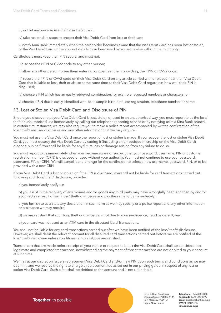<span id="page-10-0"></span>iii) not let anyone else use their Visa Debit Card.

iv) take reasonable steps to protect their Visa Debit Card from loss or theft; and

v) notify Kina Bank immediately when the cardholder becomes aware that the Visa Debit Card has been lost or stolen, or the Visa Debit Card or the account details have been used by someone else without their authority.

Cardholders must keep their PIN secure, and must not:

i) disclose their PIN or CVV2 code to any other person;

ii) allow any other person to see them entering, or overhear them providing, their PIN or CVV2 code;

iii) record their PIN or CVV2 code on their Visa Debit Card on any article carried with or placed near their Visa Debit Card that is liable to loss, theft or abuse at the same time as their Visa Debit Card regardless how well their PIN is disguised;

iv) choose a PIN which has an easily retrieved combination, for example repeated numbers or characters; or

v) choose a PIN that is easily identified with, for example birth date, car registration, telephone number or name.

# 13. Lost or Stolen Visa Debit Card and Disclosure of PIN

Should you discover that your Visa Debit Card is lost, stolen or used in an unauthorised way, you must report to us the loss/ theft or unauthorised use immediately by calling our telephone reporting service or by notifying us at a Kina Bank branch. In certain circumstances, we may also require you to make a police report accompanied by written confirmation of the loss/ theft/ misuse/ disclosure and any other information that we may require.

You must not use the Visa Debit Card once the report of lost or stolen is made. If you recover the lost or stolen Visa Debit Card, you must destroy the Visa Debit Card by cutting it (including an embedded microchip on the Visa Debit Card) diagonally in half. You shall be liable for any future loss or damage arising from any failure to do so.

You must report to us immediately when you become aware or suspect that your password, username, PIN or customer registration number (CRN) is disclosed or used without your authority. You must not continue to use your password, username, PIN or CRN. We will cancel it and arrange for the cardholder to select a new username, password, PIN, or to be provided with a new CRN.

If your Visa Debit Card is lost or stolen or if the PIN is disclosed, you shall not be liable for card transactions carried out following such loss/ theft/ disclosure, provided:

a) you immediately notify us;

b) you assist in the recovery of any monies and/or goods any third party may have wrongfully been enriched by and/or acquired as a result of such loss/ theft/ disclosure and pay the same to us immediately;

c) you furnish to us a statutory declaration in such form as we may specify or a police report and any other information or assistance we may require;

d) we are satisfied that such loss, theft or disclosure is not due to your negligence, fraud or default; and

e) your card was not used as an ATM card in the disputed Card Transactions.

You shall not be liable for any card transactions carried out after we have been notified of the loss/ theft/ disclosure. However, we shall debit the relevant account for all disputed card transactions carried out before we are notified of the loss/ theft/ disclosure unless conditions (a) to (e) above are satisfied.

Transactions that are made before receipt of your notice or request to block the Visa Debit Card shall be considered as legitimate and completed transactions, notwithstanding the payment of those transactions are not debited to your account at such time.

We may at our discretion issue a replacement Visa Debit Card and/or new PIN upon such terms and conditions as we may deem fit, and we reserve the right to charge a replacement fee as set out in our pricing guide in respect of any lost or stolen Visa Debit Card. Such a fee shall be debited to the account and is not refundable.

Together it's possible

Level 9, Kina Bank Haus Douglas Street, PO Box 1141 Port Moresby NCD 121 Papua New Guinea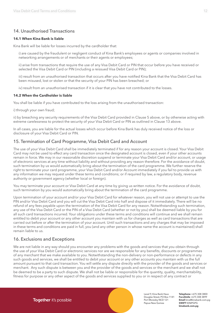# <span id="page-11-0"></span>14. Unauthorised Transactions

#### **14.1 When Kina Bank is liable**

Kina Bank will be liable for losses incurred by the cardholder that:

i) are caused by the fraudulent or negligent conduct of Kina Bank's employees or agents or companies involved in networking arrangements or of merchants or their agents or employees;

ii) arise from transactions that require the use of any Visa Debit Card or PIN that occur before you have received or selected the Visa Debit Card or PIN (including a reissued Visa Debit Card or PIN);

iii) result from an unauthorised transaction that occurs after you have notified Kina Bank that the Visa Debit Card has been misused, lost or stolen or that the security of your PIN has been breached; or

iv) result from an unauthorised transaction if it is clear that you have not contributed to the losses.

#### **14.2 When the Cardholder is liable**

You shall be liable if you have contributed to the loss arising from the unauthorised transaction:

i) through your own fraud;

ii) by breaching any security requirements of the Visa Debit Card provided in Clause 5 above, or by otherwise acting with extreme carelessness to protect the security of your Visa Debit Card or PIN as outlined in Clause 13 above.

In all cases, you are liable for the actual losses which occur before Kina Bank has duly received notice of the loss or disclosure of your Visa Debit Card or PIN.

### 15. Termination of Card Programme, Visa Debit Card and Account

The use of your Visa Debit Card shall be immediately terminated if for any reason your account is closed. Your Visa Debit Card may not be used to effect any card transaction once the designated account is closed, even if your other accounts remain in force. We may in our reasonable discretion suspend or terminate your Visa Debit Card and/or account, or usage of electronic services at any time without liability and without providing any reason therefore. For the avoidance of doubt, such termination by us would automatically bring about the termination of the card programme. We further reserve the right to terminate your card programme, your Visa Debit Card and/or Account immediately if you fail to provide us with any information we may request under these terms and conditions; or if required by law, a regulatory body, revenue authority or government agency (whether local or foreign).

You may terminate your account or Visa Debit Card at any time by giving us written notice. For the avoidance of doubt, such termination by you would automatically bring about the termination of the card programme.

Upon termination of your account and/or your Visa Debit Card for whatever reason, you will not use or attempt to use the PIN and/or Visa Debit Card and you will cut the Visa Debit Card into half and dispose of it immediately. There will be no refund of any fees payable upon the termination of the Visa Debit Card for any reason. Notwithstanding such termination, any use of the Visa Debit Card or the PIN of a Visa Debit Card (whether or not by you) shall be deemed liable by you for all such card transactions incurred. Your obligations under these terms and conditions will continue and we shall remain entitled to debit your account or any other account you maintain with us for charges as well as card transactions that are carried out before or after the termination of your account. Until such transactions and any charges that may be imposed in these terms and conditions are paid in full, you (and any other person in whose name the account is maintained) shall remain liable to us.

# 16. Exclusions and Exceptions

We are not liable in any way should you encounter any problems with the goods and services that you obtain through the use of your Visa Debit Card or electronic services nor are we responsible for any benefits, discounts or programmes of any merchant that we make available to you. Notwithstanding the non-delivery or non-performance or defects in any such goods and services, we shall be entitled to debit your account or any other accounts you maintain with us the full amount pursuant to that card transaction. You will settle any dispute directly with the provider of the goods and services or merchant. Any such dispute is between you and the provider of the goods and services or the merchant and we shall not be deemed to be a party to such dispute. We shall not be liable or responsible for the quantity, quality, merchantability, fitness for purpose or any other aspect of the goods and services supplied to you or in respect of any contract or

Together it's possible

Level 9, Kina Bank Haus Douglas Street, PO Box 1141 Port Moresby NCD 121 Papua New Guinea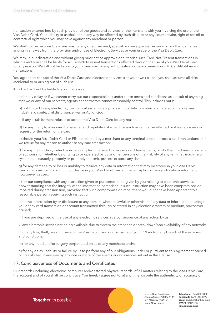<span id="page-12-0"></span>transaction entered into by such provider of the goods and services or the merchant with you involving the use of the Visa Debit Card. Your liability to us shall not in any way be affected by such dispute or any counterclaim, right of set-off or contractual right which you may have against any merchant or person.

We shall not be responsible in any way for any direct, indirect, special or consequential, economic or other damages arising in any way from the provision and/or use of Electronic Services or your usage of the Visa Debit Card.

We may, in our discretion and without giving prior notice approve or authorise such Card-Not-Present transactions in which event you shall be liable for all Card-Not-Present transactions effected through the use of your Visa Debit Card for any reason. We will not be liable to you in any way for any authorisation done in connection with Card-Not-Present transactions.

You agree that the use of the Visa Debit Card and electronic services is at your own risk and you shall assume all risks incidental to or arising out of such use.

Kina Bank will not be liable to you in any way:

a) for any delay or if we cannot carry out our responsibilities under these terms and conditions as a result of anything that we or any of our servants, agents or contractors cannot reasonably control. This includes but is

b) not limited to any electronic, mechanical system, data processing or telecommunication defect or failure, any industrial dispute, civil disturbance, war or Act of God;

c) if any establishment refuses to accept the Visa Debit Card for any reason;

d) for any injury to your credit, character and reputation if a card transaction cannot be effected or if we repossess or request for the return of the card;

e) should your Visa Debit Card or PIN be rejected by a merchant or any terminal used to process card transactions or if we refuse for any reason to authorise any card transaction;

f) for any malfunction, defect or error in any terminal used to process card transactions, or of other machines or system of authorisation whether belonging to or operated by us or other persons or the inability of any terminal, machine or system to accurately, properly or promptly transmit, process or store any data;

g) for any damage to or loss or inability to retrieve any data or information that may be stored in your Visa Debit Card or any microchip or circuit or device in your Visa Debit Card or the corruption of any such data or information, howsoever caused;

h) for our compliance with any instruction given or purported to be given by you relating to electronic services, notwithstanding that the integrity of the information comprised in such instruction may have been compromised or impaired during transmission, provided that such compromise or impairment would not have been apparent to a reasonable person receiving such instruction;

i) for the interception by or disclosure to any person (whether lawful or otherwise) of any data or information relating to you or any card transaction or account transmitted through or stored in any electronic system or medium, howsoever caused;

j) if you are deprived of the use of any electronic services as a consequence of any action by us;

k) any electronic service not being available due to system maintenance or breakdown/non availability of any network;

l) for any loss, theft, use or misuse of the Visa Debit Card or disclosure of your PIN and/or any breach of these terms and conditions;

m) for any fraud and/or forgery perpetrated on us or any merchant; and/or

n) for any delay, inability or failure by us to perform any of our obligations under or pursuant to this Agreement caused or contributed in any way by any one or more of the events or occurrences set out in this Clause.

# 17. Conclusiveness of Documents and Certificates

Our records (including electronic, computer and/or stored physical records) of all matters relating to the Visa Debit Card, the account and of you shall be conclusive. You hereby agree not to, at any time, dispute the authenticity or accuracy of

Together it's possible

Level 9, Kina Bank Haus Douglas Street, PO Box 1141 Port Moresby NCD 121 Papua New Guinea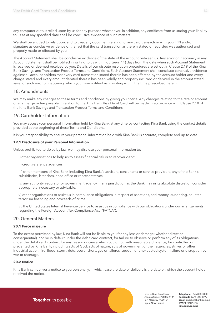<span id="page-13-0"></span>any computer output relied upon by us for any purpose whatsoever. In addition, any certificate from us stating your liability to us as at any specified date shall be conclusive evidence of such matters.

We shall be entitled to rely upon, and to treat any document relating to, any card transaction with your PIN and/or signature as conclusive evidence of the fact that the card transaction as therein stated or recorded was authorised and properly made or effected by you.

The Account Statement shall be conclusive evidence of the state of the account between us. Any error or inaccuracy in any Account Statement shall be notified in writing to us within fourteen (14) days from the date when such Account Statement is received or deemed received by you. Details of our dispute resolution procedures are set out in Clause 2.19 of the Kina Bank Savings and Transaction Product Terms and Conditions. Each Account Statement shall constitute conclusive evidence against all account holders that every card transaction stated therein has been effected by the account holder and every charge stated and every amount debited therein has been validly and properly incurred or debited in the amount stated save for such error or inaccuracy which you have notified us in writing within the time prescribed herein.

# 18. Amendments

We may make any changes to these terms and conditions by giving you notice. Any changes relating to the rate or amount of any charge or fee payable in relation to the Kina Bank Visa Debit Card will be made in accordance with Clause 2.10 of the Kina Bank Savings and Transaction Product Terms and Conditions.

# 19. Cardholder Information

You may access your personal information held by Kina Bank at any time by contacting Kina Bank using the contact details provided at the beginning of these Terms and Conditions.

It is your responsibility to ensure your personal information held with Kina Bank is accurate, complete and up to date.

#### **19.1 Disclosure of your Personal Information**

Unless prohibited to do so by law, we may disclose your personal information to:

i) other organisations to help us to assess financial risk or to recover debt;

ii) credit reference agencies;

iii) other members of Kina Bank including Kina Banks's advisers, consultants or service providers, any of the Bank's subsidiaries, branches, head office or representatives;

iv) any authority, regulator or government agency in any jurisdiction as the Bank may in its absolute discretion consider appropriate, necessary or advisable;

v) other organisations to assist us in compliance obligations in respect of sanctions, anti-money laundering, counterterrorism financing and proceeds of crime;

vi) the United States Internal Revenue Service to assist us in compliance with our obligations under our arrangements regarding the Foreign Account Tax Compliance Act ("FATCA").

# 20. General Matters

#### **20.1 Force majeure**

To the extent permitted by law, Kina Bank will not be liable to you for any loss or damage (whether direct or consequential), nor be in default under the debit card contract, for failure to observe or perform any of its obligations under the debit card contract for any reason or cause which could not, with reasonable diligence, be controlled or prevented by Kina Bank, including acts of God, acts of nature, acts of government or their agencies, strikes or other industrial action, fire, flood, storm, riots, power shortages or failures, sudden or unexpected system failure or disruption by war or shortage.

#### **20.2 Notice**

Kina Bank can deliver a notice to you personally, in which case the date of delivery is the date on which the account holder received the notice.

> Level 9, Kina Bank Haus Douglas Street, PO Box 1141 Port Moresby NCD 121 Papua New Guinea

**Telephone** +675 308 3800 **Facsilmile** +675 308 3899 **Email** kina@kinabank.com.pg **SWIFT** KINIPGPG **kinabank.com.pg**